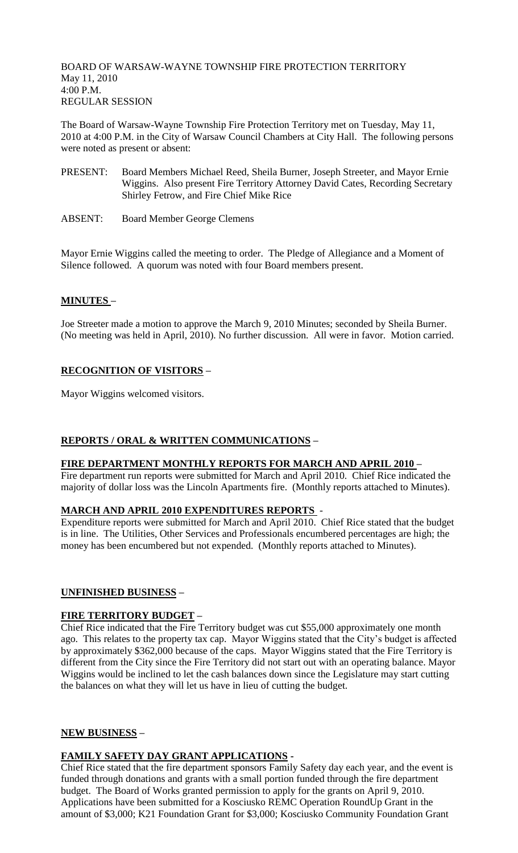BOARD OF WARSAW-WAYNE TOWNSHIP FIRE PROTECTION TERRITORY May 11, 2010 4:00 P.M. REGULAR SESSION

The Board of Warsaw-Wayne Township Fire Protection Territory met on Tuesday, May 11, 2010 at 4:00 P.M. in the City of Warsaw Council Chambers at City Hall. The following persons were noted as present or absent:

- PRESENT: Board Members Michael Reed, Sheila Burner, Joseph Streeter, and Mayor Ernie Wiggins. Also present Fire Territory Attorney David Cates, Recording Secretary Shirley Fetrow, and Fire Chief Mike Rice
- ABSENT: Board Member George Clemens

Mayor Ernie Wiggins called the meeting to order. The Pledge of Allegiance and a Moment of Silence followed. A quorum was noted with four Board members present.

# **MINUTES –**

Joe Streeter made a motion to approve the March 9, 2010 Minutes; seconded by Sheila Burner. (No meeting was held in April, 2010). No further discussion. All were in favor. Motion carried.

# **RECOGNITION OF VISITORS –**

Mayor Wiggins welcomed visitors.

# **REPORTS / ORAL & WRITTEN COMMUNICATIONS –**

#### **FIRE DEPARTMENT MONTHLY REPORTS FOR MARCH AND APRIL 2010 –**

Fire department run reports were submitted for March and April 2010. Chief Rice indicated the majority of dollar loss was the Lincoln Apartments fire. (Monthly reports attached to Minutes).

### **MARCH AND APRIL 2010 EXPENDITURES REPORTS** -

Expenditure reports were submitted for March and April 2010. Chief Rice stated that the budget is in line. The Utilities, Other Services and Professionals encumbered percentages are high; the money has been encumbered but not expended. (Monthly reports attached to Minutes).

# **UNFINISHED BUSINESS –**

#### **FIRE TERRITORY BUDGET –**

Chief Rice indicated that the Fire Territory budget was cut \$55,000 approximately one month ago. This relates to the property tax cap. Mayor Wiggins stated that the City's budget is affected by approximately \$362,000 because of the caps. Mayor Wiggins stated that the Fire Territory is different from the City since the Fire Territory did not start out with an operating balance. Mayor Wiggins would be inclined to let the cash balances down since the Legislature may start cutting the balances on what they will let us have in lieu of cutting the budget.

# **NEW BUSINESS –**

# **FAMILY SAFETY DAY GRANT APPLICATIONS -**

Chief Rice stated that the fire department sponsors Family Safety day each year, and the event is funded through donations and grants with a small portion funded through the fire department budget. The Board of Works granted permission to apply for the grants on April 9, 2010. Applications have been submitted for a Kosciusko REMC Operation RoundUp Grant in the amount of \$3,000; K21 Foundation Grant for \$3,000; Kosciusko Community Foundation Grant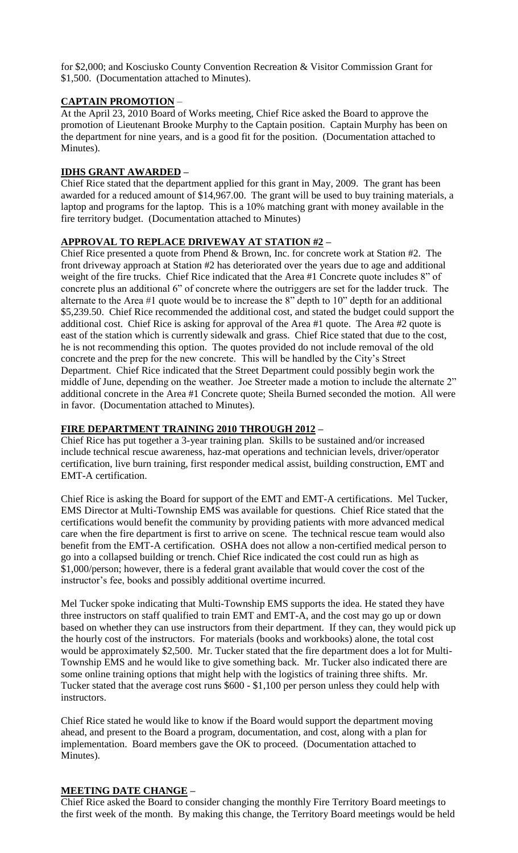for \$2,000; and Kosciusko County Convention Recreation & Visitor Commission Grant for \$1,500. (Documentation attached to Minutes).

### **CAPTAIN PROMOTION** –

At the April 23, 2010 Board of Works meeting, Chief Rice asked the Board to approve the promotion of Lieutenant Brooke Murphy to the Captain position. Captain Murphy has been on the department for nine years, and is a good fit for the position. (Documentation attached to Minutes).

### **IDHS GRANT AWARDED –**

Chief Rice stated that the department applied for this grant in May, 2009. The grant has been awarded for a reduced amount of \$14,967.00. The grant will be used to buy training materials, a laptop and programs for the laptop. This is a 10% matching grant with money available in the fire territory budget. (Documentation attached to Minutes)

#### **APPROVAL TO REPLACE DRIVEWAY AT STATION #2 –**

Chief Rice presented a quote from Phend & Brown, Inc. for concrete work at Station #2. The front driveway approach at Station #2 has deteriorated over the years due to age and additional weight of the fire trucks. Chief Rice indicated that the Area #1 Concrete quote includes 8" of concrete plus an additional 6" of concrete where the outriggers are set for the ladder truck. The alternate to the Area #1 quote would be to increase the 8" depth to 10" depth for an additional \$5,239.50. Chief Rice recommended the additional cost, and stated the budget could support the additional cost. Chief Rice is asking for approval of the Area #1 quote. The Area #2 quote is east of the station which is currently sidewalk and grass. Chief Rice stated that due to the cost, he is not recommending this option. The quotes provided do not include removal of the old concrete and the prep for the new concrete. This will be handled by the City's Street Department. Chief Rice indicated that the Street Department could possibly begin work the middle of June, depending on the weather. Joe Streeter made a motion to include the alternate 2" additional concrete in the Area #1 Concrete quote; Sheila Burned seconded the motion. All were in favor. (Documentation attached to Minutes).

### **FIRE DEPARTMENT TRAINING 2010 THROUGH 2012 –**

Chief Rice has put together a 3-year training plan. Skills to be sustained and/or increased include technical rescue awareness, haz-mat operations and technician levels, driver/operator certification, live burn training, first responder medical assist, building construction, EMT and EMT-A certification.

Chief Rice is asking the Board for support of the EMT and EMT-A certifications. Mel Tucker, EMS Director at Multi-Township EMS was available for questions. Chief Rice stated that the certifications would benefit the community by providing patients with more advanced medical care when the fire department is first to arrive on scene. The technical rescue team would also benefit from the EMT-A certification. OSHA does not allow a non-certified medical person to go into a collapsed building or trench. Chief Rice indicated the cost could run as high as \$1,000/person; however, there is a federal grant available that would cover the cost of the instructor's fee, books and possibly additional overtime incurred.

Mel Tucker spoke indicating that Multi-Township EMS supports the idea. He stated they have three instructors on staff qualified to train EMT and EMT-A, and the cost may go up or down based on whether they can use instructors from their department. If they can, they would pick up the hourly cost of the instructors. For materials (books and workbooks) alone, the total cost would be approximately \$2,500. Mr. Tucker stated that the fire department does a lot for Multi-Township EMS and he would like to give something back. Mr. Tucker also indicated there are some online training options that might help with the logistics of training three shifts. Mr. Tucker stated that the average cost runs \$600 - \$1,100 per person unless they could help with instructors.

Chief Rice stated he would like to know if the Board would support the department moving ahead, and present to the Board a program, documentation, and cost, along with a plan for implementation. Board members gave the OK to proceed. (Documentation attached to Minutes).

#### **MEETING DATE CHANGE –**

Chief Rice asked the Board to consider changing the monthly Fire Territory Board meetings to the first week of the month. By making this change, the Territory Board meetings would be held